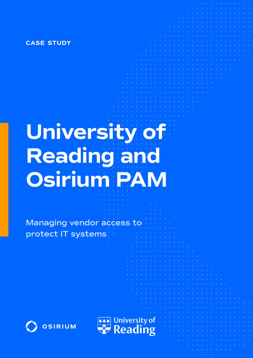**case study**

# **University of Reading and Osirium PAM**

**Managing vendor access to protect IT systems**



University of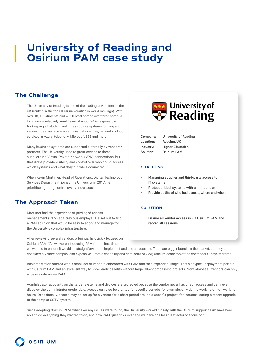# **University of Reading and Osirium PAM case study**

## **The Challenge**

The University of Reading is one of the leading universities in the UK (ranked in the top 30 UK universities in world rankings). With over 18,000 students and 4,500 staff spread over three campus locations, a relatively small team of about 20 is responsible for keeping all student and infrastructure systems running and secure. They manage on-premises data centres, networks, cloud services in Azure, telephony, Microsoft 365 and more.

Many business systems are supported externally by vendors/ partners. The University used to grant access to these suppliers via Virtual Private Network (VPN) connections, but that didn't provide visibility and control over who could access which systems and what they did while connected.

When Kevin Mortimer, Head of Operations, Digital Technology Services Department, joined the University in 2017, he prioritised getting control over vendor access.

# **The Approach Taken**

Mortimer had the experience of privileged access management (PAM) at a previous employer. He set out to find a PAM solution that would be easy to adopt and manage for the University's complex infrastructure.

After reviewing several vendors offerings, he quickly focused on Osirium PAM. "As we were introducing PAM for the first time,



| Company:         | University of Reading   |
|------------------|-------------------------|
| <b>Location:</b> | Reading, UK             |
| Industry:        | <b>Higher Education</b> |
| Solution:        | <b>Osirium PAM</b>      |

#### **challenge**

- Managing supplier and third-party access to IT systems
- Protect critical systems with a limited team
- Provide audits of who had access, where and when

#### **solution**

• Ensure all vendor access is via Osirium PAM and record all sessions

we wanted to ensure it would be straightforward to implement and use as possible. There are bigger brands in the market, but they are considerably more complex and expensive. From a capability and cost point of view, Osirium came top of the contenders." says Mortimer.

Implementation started with a small set of vendors onboarded with PAM and then expanded usage. That's a typical deployment pattern with Osirium PAM and an excellent way to show early benefits without large, all-encompassing projects. Now, almost all vendors can only access systems via PAM.

Administrator accounts on the target systems and devices are protected because the vendor never has direct access and can never discover the administrator credentials. Access can also be granted for specific periods, for example, only during working or non-working hours. Occasionally, access may be set up for a vendor for a short period around a specific project, for instance, during a recent upgrade to the campus CCTV system.

Since adopting Osirium PAM, whenever any issues were found, the University worked closely with the Osirium support team have been able to do everything they wanted to do, and now PAM "just ticks over and we have one less treat actor to focus on."

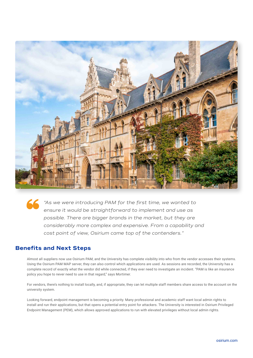

*"As we were introducing PAM for the first time, we wanted to ensure it would be straightforward to implement and use as possible. There are bigger brands in the market, but they are considerably more complex and expensive. From a capability and cost point of view, Osirium came top of the contenders."*

### **Benefits and Next Steps**

Almost all suppliers now use Osirium PAM, and the University has complete visibility into who from the vendor accesses their systems. Using the Osirium PAM MAP server, they can also control which applications are used. As sessions are recorded, the University has a complete record of exactly what the vendor did while connected, if they ever need to investigate an incident. "PAM is like an insurance policy you hope to never need to use in that regard," says Mortimer.

For vendors, there's nothing to install locally, and, if appropriate, they can let multiple staff members share access to the account on the university system.

Looking forward, endpoint management is becoming a priority. Many professional and academic staff want local admin rights to install and run their applications, but that opens a potential entry point for attackers. The University is interested in Osirium Privileged Endpoint Management (PEM), which allows approved applications to run with elevated privileges without local admin rights.